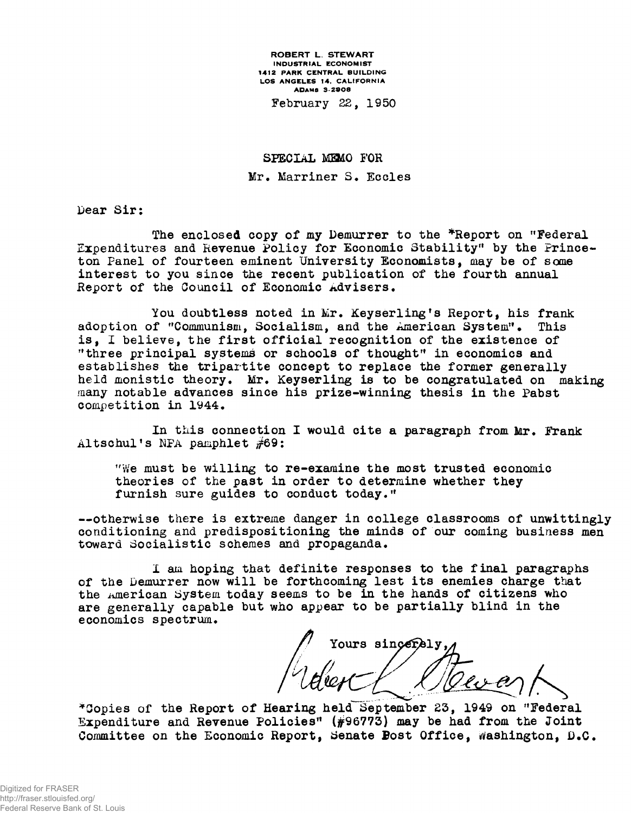ROBERT L. STEWART INDUSTRIAL ECONOMIST 1412 PARK CENTRAL BUILDING LOS ANGELES 14, CALIFORNIA ADAMS 3-2008

February 22, 1950

SPECIAL MEMO FOR Mr. Marriner S. Eccles

Dear Sir:

The enclosed copy of my Demurrer to the \*Report on "Federal" Expenditures and Revenue Policy for Economic Stability" by the Princeton Panel of fourteen eminent University Economists, may be of some interest to you since the recent publication of the fourth annual Report of the Council of Economic Advisers.

You doubtless noted in Mr. Keyserling's Report, his frank adoption of "Communism, Socialism, and the American System". This is, I believe, the first official recognition of the existence of "three principal systems or schools of thought" in economics and establishes the tripartite concept to replace the former generally held monistic theory. Mr. Keyserling is to be congratulated on making many notable advances since his prize-winning thesis in the Pabst competition in 1944.

In this connection I would cite a paragraph from Mr. Frank Altschul's NPA pamphlet #69:

*"We* must be willing to re-examine the most trusted economic theories of the past in order to determine whether they furnish sure guides to conduct today."

—otherwise there is extreme danger in college classrooms of unwittingly conditioning and predispositioning the minds of our coming business men toward Socialistic schemes and propaganda.

I am hoping that definite responses to the final paragraphs of the Demurrer now will be forthcoming lest its enemies charge that the American System today seems to be in the hands of citizens who are generally capable but who appear to be partially blind in the economics spectrum.

// Yours sincerely,

\*Copies of the Report of Hearing held September 23, 1949 on "Federal Expenditure and Revenue Policies" ( $#96773$ ) may be had from the Joint Committee on the Economic Report, Senate Bost Office, Washington, *D.*C.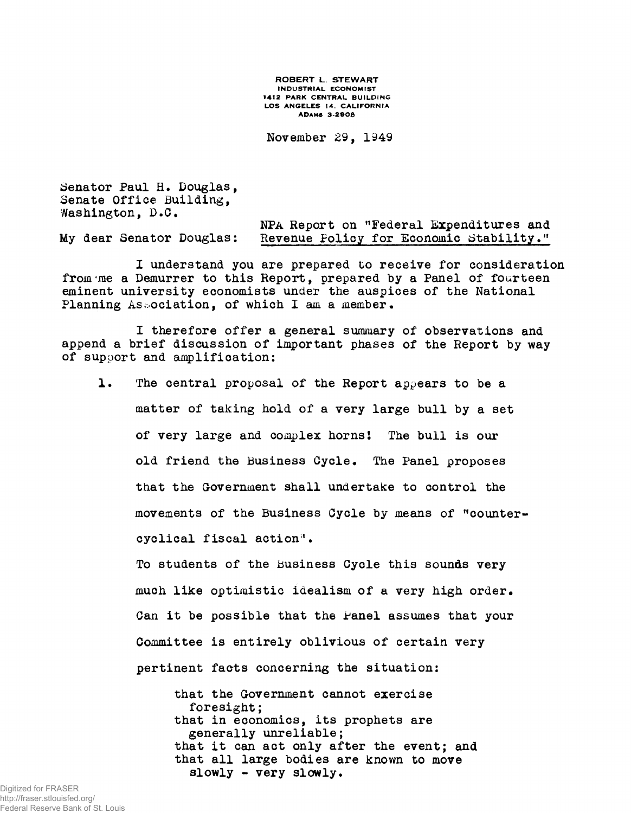ROBERT L. STEWART INDUSTRIAL ECONOMIST 1412 PARK CENTRAL BUILDING LOS ANGELES 14. CALIFORNIA ADAMS 3-2906

November 29, 1949

Senator Paul H. Douglas, Senate Office Building, Washington, D.C.

NPA Report on "Federal Expenditures and My dear Senator Douglas: Revenue Policy for Economic Stability."

I understand you are prepared to receive for consideration from'me a Demurrer to this Report, prepared by a Panel of fourteen eminent university economists under the auspices of the National Planning Association, of which I am a member.

I therefore offer a general summary of observations and append a brief discussion of important phases of the Report by way of support and amplification:

1. The central proposal of the Report appears to be a matter of taking hold of a very large bull by a set of very large and complex horns! The bull is our old friend the Business Cycle. The Panel proposes that the Government shall undertake to control the movements of the Business Cycle by means of "countercyclical fiscal action'<sup>1</sup>.

To students of the Business Cycle this sounds very much like optimistic idealism of a very high order. Can it be possible that the Panel assumes that your Committee is entirely oblivious of certain very pertinent facts concerning the situation:

that the Government cannot exercise foresight; that in economics, its prophets are generally unreliable; that it can act only after the event; and that all large bodies are known to move slowly - very slowly.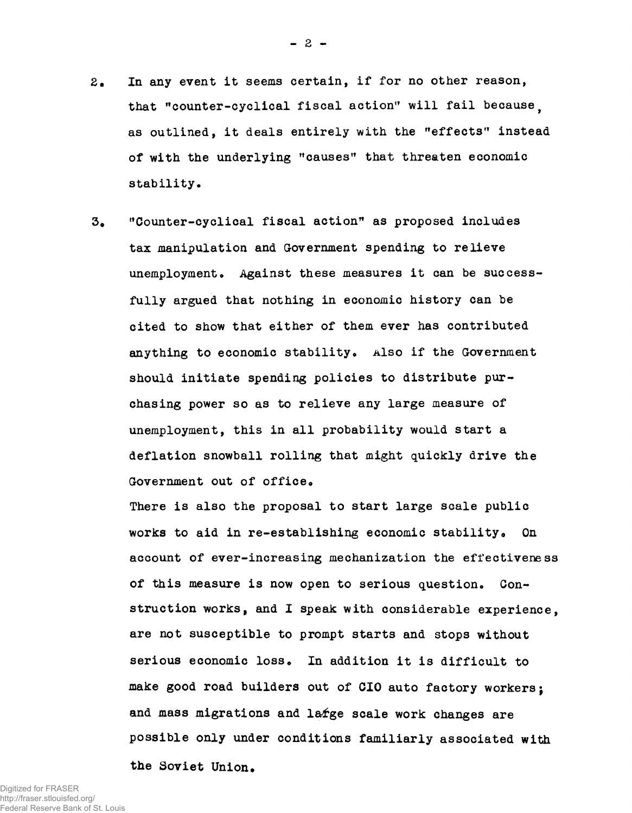- 2. In any event it seems certain, if for no other reason, that "counter-cyclical fiscal action" will fail because. as outlined, it deals entirely with the "effects" instead of with the underlying "causes" that threaten economic stability.
- 3» "Counter-cyclical fiscal action" as proposed includes tax manipulation and Government spending to relieve unemployment. Against these measures it can be successfully argued that nothing in economic history can be cited to show that either of them ever has contributed anything to economic stability. **Also** if the Government should initiate spending policies to distribute purchasing power so as to relieve any large measure of unemployment, this in all probability would start a deflation snowball rolling that might quickly drive the Government out of office.

There is also the proposal to start large scale public works to aid in re-establishing economic stability. On account of ever-increasing mechanization the effectiveness of this measure is now open to serious question. Construction works, and I speak with considerable experience, are not susceptible to prompt starts and stops without serious economic loss. In addition it is difficult to make good road builders out of CIO auto factory workers; and mass migrations and l&fge scale work changes are possible only under conditions familiarly associated with

the Soviet Union.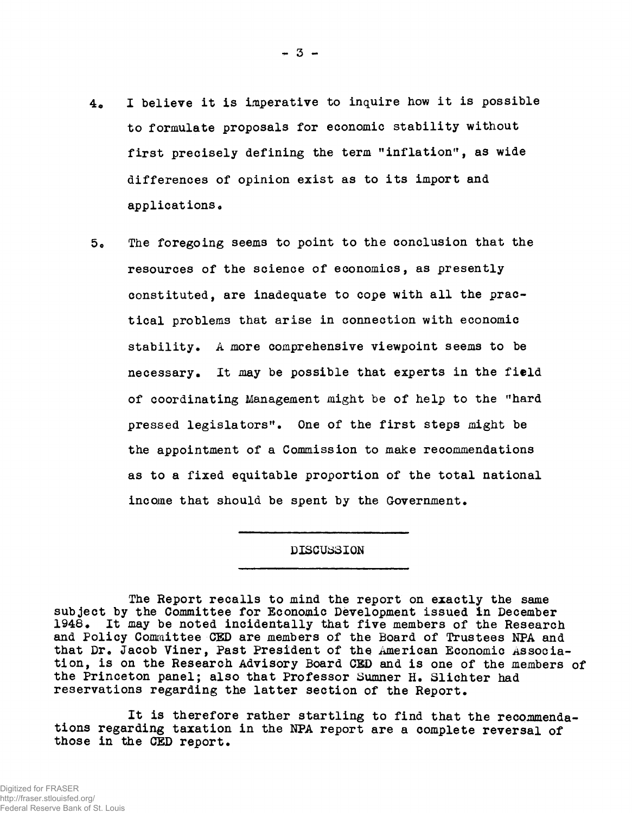- 4. I believe it is imperative to inquire how it is possible to formulate proposals for economic stability without first precisely defining the term "inflation", as wide differences of opinion exist as to its import and applications.
- 5o The foregoing seems to point to the conclusion that the resources of the science of economics, as presently constituted, are inadequate to cope with all the practical problems that arise in connection with economic stability. A more comprehensive viewpoint seems to be necessary. It may be possible that experts in the field of coordinating Management might be of help to the "hard pressed legislators". One of the first steps might be the appointment of a Commission to make recommendations as to a fixed equitable proportion of the total national income that should be spent by the Government.

## DISCUSSION

The Report recalls to mind the report on exactly the same subject by the Committee for Economic Development issued in December 1948• It may be noted incidentally that five members of the Research and Policy Committee CED are members of the Board of Trustees NPA and that Dr. Jacob Viner, Past President of the American Economic Association, is on the Research Advisory Board CED and is one of the members of the Princeton panel; also that Professor Sumner H. Slichter had reservations regarding the latter section of the Report.

It is therefore rather startling to find that the recommendations regarding taxation in the NPA report are a complete reversal of those in the CED report.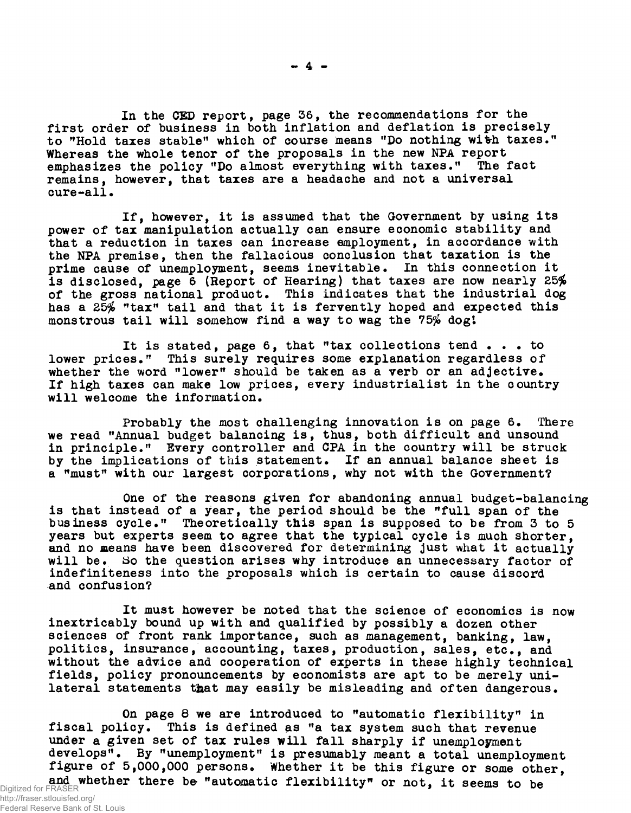In the CED report, page 36, the recommendations for the first order of business in both inflation and deflation is precisely to "Hold taxes stable" which of course means "Do nothing with taxes." Whereas the whole tenor of the proposals in the new NPA report emphasizes the policy "Do almost everything with taxes." The fact remains, however, that taxes are a headache and not a universal cure-all.

If, however, it is assumed that the Government by using its power of tax manipulation actually can ensure economic stability and that a reduction in taxes can increase employment, in accordance with the NPA premise, then the fallacious conclusion that taxation is the prime cause of unemployment, seems inevitable. In this connection it is disclosed, page 6 (Report of Hearing) that taxes are now nearly 25% of the gross national product. This indicates that the industrial dog has a 25% "tax" tail and that it is fervently hoped and expected this monstrous tail will somehow find a way to wag the 75% dogl

It is stated, page 6, that "tax collections tend .. . to lower prices." This surely requires some explanation regardless of whether the word "lower" should be taken as a verb or an adjective. If high taxes can make low prices, every industrialist in the country will welcome the information.

Probably the most challenging innovation is on page 6. There we read "Annual budget balancing is, thus, both difficult and unsound in principle." Every controller and CPA in the country will be struck by the implications of this statement. If an annual balance sheet is a "must" with our largest corporations, why not with the Government?

One of the reasons given for abandoning annual budget-balancing is that instead of a year, the period should be the "full span of the business cycle." Theoretically this span is supposed to be from 3 to 5 years but experts seem to agree that the typical cycle is much shorter, and no means have been discovered for determining just what it actually will be. So the question arises why introduce an unnecessary factor of indefiniteness into the proposals which is certain to cause discord and confusion?

It must however be noted that the science of economics is now inextricably bound up with and qualified by possibly a dozen other sciences of front rank importance, such as management, banking, law, politics, insurance, accounting, taxes, production, sales, etc., and without the advice and cooperation of experts in these highly technical fields, policy pronouncements by economists are apt to be merely unilateral statements that may easily be misleading and often dangerous.

On page 8 we are introduced to "automatic flexibility" in fiscal policy. This is defined as "a tax system such that revenue under a given set of tax rules will fall sharply if unemployment develops". By "unemployment" is presumably meant a total unemployment figure of 5,000,000 persons. Whether it be this figure or some other, Digitized for FRASER **and whether there be "automatic flexibility" or not, it seems to be**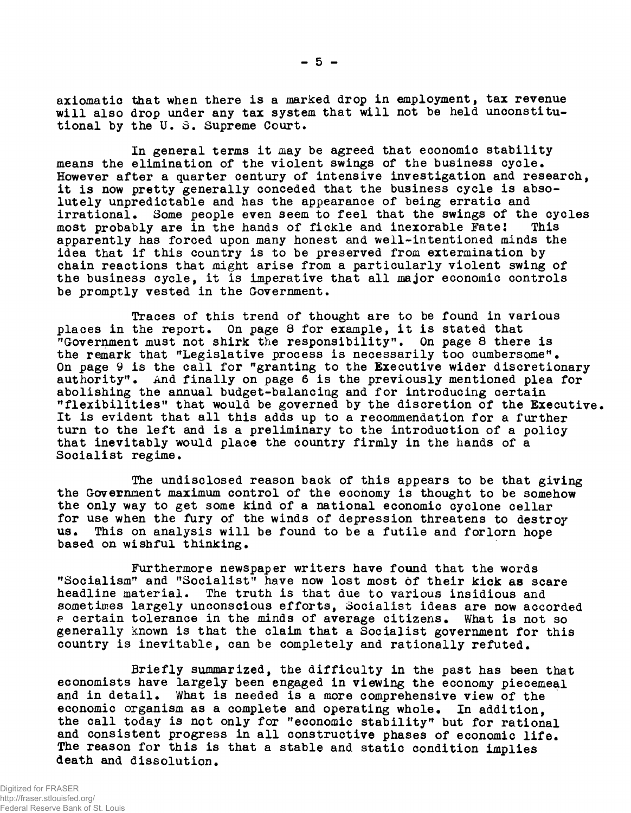axiomatic that when there is a marked drop in employment, tax revenue will also drop under any tax system that will not be held unconstitutional by the U. 3. Supreme Court.

In general terms it may be agreed that economic stability means the elimination of the violent swings of the business cycle. However after a quarter century of intensive investigation and research, it is now pretty generally conceded that the business cycle is absolutely unpredictable and has the appearance of being erratic and irrational. Some people even seem to feel that the swings of the cycles most probably are in the hands of fickle and inexorable Fate! This most probably are in the hands of fickle and inexorable Fate! apparently has forced upon many honest and well-intentioned minds the idea that if this country is to be preserved from extermination by chain reactions that might arise from a particularly violent swing of the business cycle, it is imperative that all major economic controls be promptly vested in the Government.

Traces of this trend of thought are to be found in various places in the report. On page 8 for example, it is stated that "Government must not shirk the responsibility". On page 8 there is the remark that "Legislative process is necessarily too cumbersome". On page 9 is the call for "granting to the Executive wider discretionary authority". And finally on page 6 is the previously mentioned plea for abolishing the annual budget-balancing and for introducing certain "flexibilities" that would be governed by the discretion of the Executive. It is evident that all this adds up to a recommendation for a further turn to the left and is a preliminary to the introduction of a policy that inevitably would place the country firmly in the hands of a Socialist regime.

The undisclosed reason back of this appears to be that giving the Government maximum control of the economy is thought to be somehow the only way to get some kind of a national economic cyclone cellar for use when the fury of the winds of depression threatens to destroy us. This on analysis will be found to be a futile and forlorn hope based on wishful thinking.

Furthermore newspaper writers have found that the words "Socialism" and "Socialist" have now lost most of their kick as scare headline material. The truth is that due to various insidious and sometimes largely unconscious efforts, Socialist ideas are now accorded e certain tolerance in the minds of average citizens. What is not so generally known is that the claim that a Socialist government for this country is inevitable, can be completely and rationally refuted.

Briefly summarized, the difficulty in the past has been that economists have largely been engaged in viewing the economy piecemeal and in detail. What is needed is a more comprehensive view of the economic organism as a complete and operating whole. In addition, the call today is not only for "economic stability" but for rational and consistent progress in all constructive phases of economic life. The reason for this is that a stable and static condition implies death and dissolution.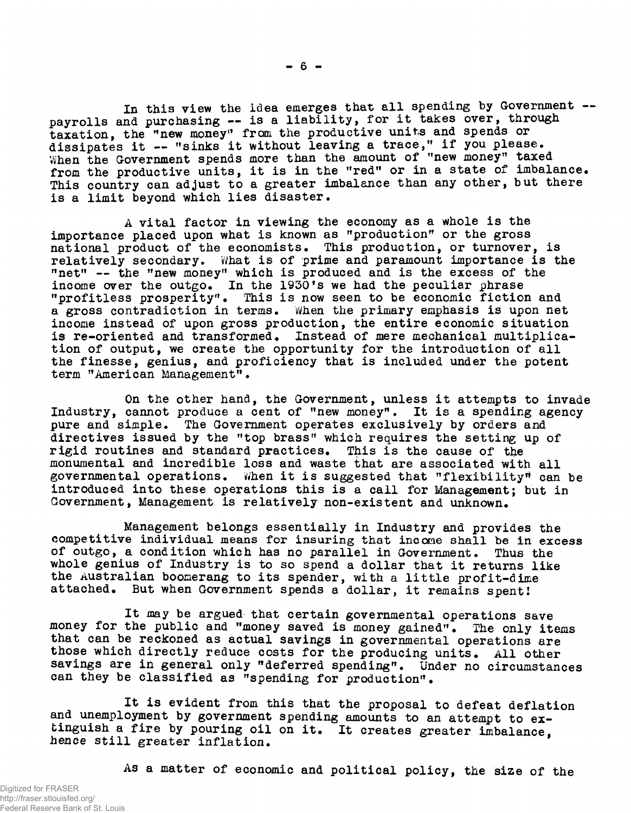In this view the idea emerges that all spending by Government -payrolls and purchasing -- is a liability, for it takes over, through taxation, the "new money" from the productive units and spends or dissipates it — "sinks it without leaving a trace," if you please. When the Government spends more than the amount of "new money" taxed from the productive units, it is in the "red" or in a state of imbalance. This country can adjust to a greater imbalance than any other, but there is a limit beyond which lies disaster.

**- 6 -**

A vital factor in viewing the economy as a whole is the importance placed upon what is known as "production" or the gross national product of the economists. This production, or turnover, is relatively secondary. What is of prime and paramount importance is the "net" — the "new money" which is produced and is the excess of the income over the outgo. In the 1930's we had the peculiar phrase "profitless prosperity". This is now seen to be economic fiction and a gross contradiction in terms. When the primary emphasis is upon net income instead of upon gross production, the entire economic situation is re-oriented and transformed. Instead of mere mechanical multiplication of output, we create the opportunity for the introduction of all the finesse, genius, and proficiency that is included under the potent term "American Management".

On the other hand, the Government, unless it attempts to invade Industry, cannot produce a cent of "new money". It is a spending agency pure and simple. The Government operates exclusively by orders and directives issued by the "top brass" which requires the setting up of<br>rigid routines and standard practices. This is the cause of the rigid routines and standard practices. monumental and incredible loss and waste that are associated with all governmental operations. When it is suggested that "flexibility" can be introduced into these operations this is a call for Management; but in Government, Management is relatively non-existent and unknown.

Management belongs essentially in Industry and provides the competitive individual means for insuring that income shall be in excess of outgo, a condition which has no parallel in Government. Thus the whole genius of Industry is to so spend a dollar that it returns like the Australian boomerang to its spender, with a little profit-dime attached. But when Government spends a dollar, it remains spent!

It may be argued- that certain governmental operations save money for the public and "money saved is money gained". The only items that can be reckoned as actual savings in governmental operations are those which directly reduce costs for the producing units. All other savings are in general only "deferred spending". Under no circumstances can they be classified as "spending for production".

It is evident from this that the proposal to defeat deflation and unemployment by government spending amounts to an attempt to extinguish a fire by pouring oil on it. It creates greater imbalance, hence still greater inflation.

As a matter of economic and political policy, the size of the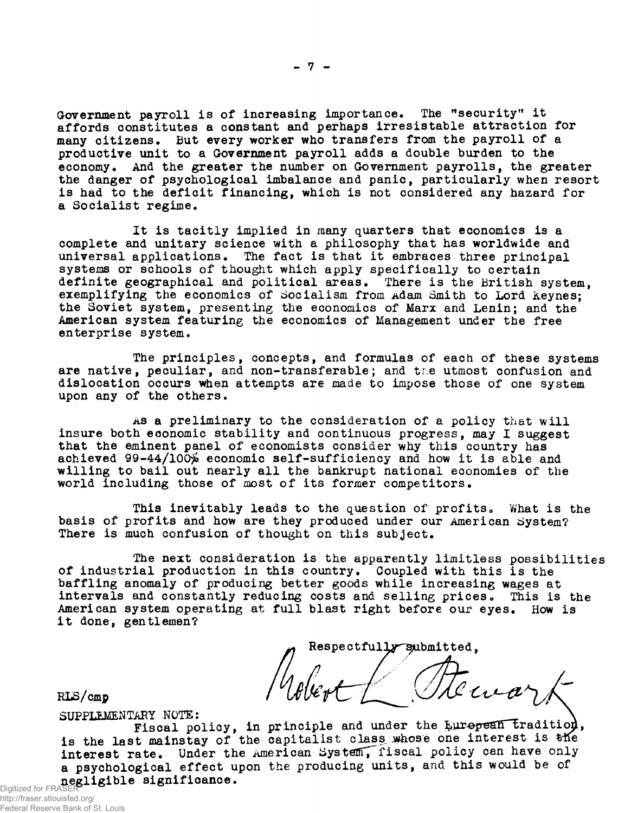Government payroll is of increasing importance. The "security" it affords constitutes a constant and perhaps irresistable attraction for many citizens. But every worker who transfers from the payroll of a productive unit to a Government payroll adds a double burden to the economy. And the greater the number on Government payrolls, the greater the danger of psychological imbalance and panic, particularly when resort is had to the deficit financing, which is not considered any hazard for a Socialist regime.

It is tacitly implied in many quarters that economics is a complete and unitary science with a philosophy that has worldwide and universal applications. The fact is that it embraces three principal systems or schools of thought which apply specifically to certain definite geographical and political areas. There is the British system, exemplifying the economics of Socialism from Adam Smith to Lord Keynes; the Soviet system, presenting the economics of Marx and Lenin; and the American system featuring the economics of Management under the free enterprise system.

The principles, concepts, and formulas of each of these systems are native, peculiar, and non-transferable; and the utmost confusion and dislocation occurs when attempts are made to impose those of one system upon any of the others.

As a preliminary to the consideration of a policy that will insure both economic stability and continuous progress, may I suggest that the eminent panel of economists consider why this country has achieved  $99-44/100\%$  economic self-sufficiency and how it is able and willing to bail out nearly all the bankrupt national economies of the world including those of most of its former competitors.

This inevitably leads to the question of profits. What is the basis of profits and how are they produced under our American System? There is much confusion of thought on this subject.

The next consideration is the apparently limitless possibilities of industrial production in this country. Coupled with this is the baffling anomaly of producing better goods while increasing wages at intervals and constantly reducing costs and selling prices. This is the American system operating at full blast right before our eyes. How is it done, gentlemen?

Respectfully submitted, Remar,

RLS/cmp

SUPPLEMENTARY NOTE:  $\qquad \qquad \qquad \qquad$ Fiscal policy, in principle and under the  $f_{\text{ML}}$  tradition, is the last mainstay of the capitalist class whose one interest is the interest rate. Under the American System, fiscal policy can have only a psychological effect upon the producing units, and this would be of negligible significance.

Digitized for FRA http://fraser.stlouisfed.org/ Federal Reserve Bank of St. Louis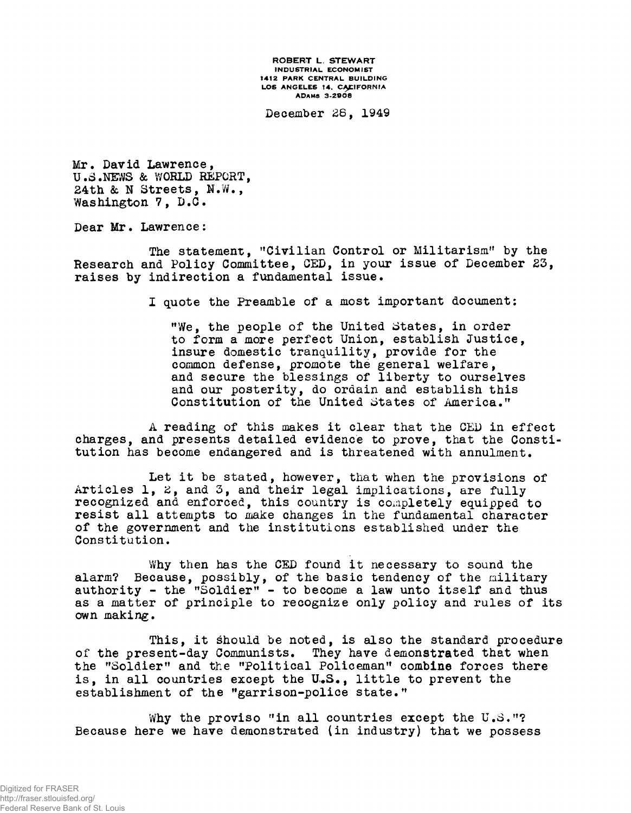ROBERT L. STEWART INDUSTRIAL ECONOMIST 1412 PARK CENTRAL BUILDING LOS ANGELES 14. CALIFORNIA ADAMS 3-2808

December 28, 1949

Mr. David Lawrence, U.3 .NEWS & WORLD REPORT, 24th & N Streets, N.W., Washington 7, D.C.

Dear Mr. Lawrence:

The statement, "Civilian Control or Militarism" by the Research and Policy Committee, CED, in your issue of December 23, raises by indirection a fundamental issue.

I quote the Preamble of a most important document:

"We, the people of the United States, in order to form a more perfect Union, establish Justice, insure domestic tranquility, provide for the common defense, promote the general welfare, and secure the blessings of liberty to ourselves and our posterity, do ordain and establish this Constitution of the United States of America."

A reading of this makes it clear that the CED in effect charges, and presents detailed evidence to prove, that the Constitution has become endangered and is threatened with annulment.

Let it be stated, however, that when the provisions of Articles 1, 2, and 3, and their legal implications, are fully recognized and enforced, this country is completely equipped to resist all attempts to make changes in the fundamental character of the government and the institutions established under the Constitution,

Why then has the CED found it necessary to sound the alarm? Because, possibly, of the basic tendency of the military authority - the "Soldier" - to become a law unto itself and thus as a matter of principle to recognize only policy and rules of its own making.

This, it should be noted, is also the standard procedure of the present-day Communists. They have demonstrated that when the "Soldier" and the "Political Policeman" combine forces there is, in all countries except the U.S., little to prevent the establishment of the "garrison-police state."

Why the proviso "in all countries except the U.S."? Because here we have demonstrated (in industry) that we possess